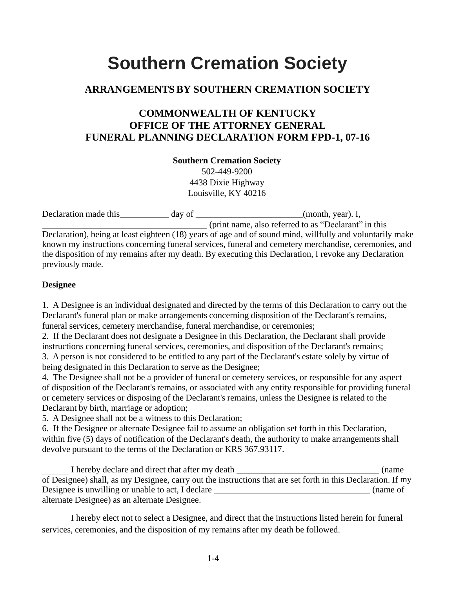# **Southern Cremation Society**

## **ARRANGEMENTS BY SOUTHERN CREMATION SOCIETY**

## **COMMONWEALTH OF KENTUCKY OFFICE OF THE ATTORNEY GENERAL FUNERAL PLANNING DECLARATION FORM FPD-1, 07-16**

**Southern Cremation Society**

502-449-9200 4438 Dixie Highway Louisville, KY 40216

| Declaration made this | day of | $(month, year)$ . I,                                                                                      |
|-----------------------|--------|-----------------------------------------------------------------------------------------------------------|
|                       |        | (print name, also referred to as "Declarant" in this                                                      |
|                       |        | Declaration), being at least eighteen (18) years of age and of sound mind, willfully and voluntarily make |
|                       |        | known my instructions concerning funeral services, funeral and cemetery merchandise, ceremonies, and      |
|                       |        | the disposition of my remains after my death. By executing this Declaration, I revoke any Declaration     |
| previously made.      |        |                                                                                                           |

#### **Designee**

1. A Designee is an individual designated and directed by the terms of this Declaration to carry out the Declarant's funeral plan or make arrangements concerning disposition of the Declarant's remains, funeral services, cemetery merchandise, funeral merchandise, or ceremonies;

2. If the Declarant does not designate a Designee in this Declaration, the Declarant shall provide instructions concerning funeral services, ceremonies, and disposition of the Declarant's remains;

3. A person is not considered to be entitled to any part of the Declarant's estate solely by virtue of being designated in this Declaration to serve as the Designee;

4. The Designee shall not be a provider of funeral or cemetery services, or responsible for any aspect of disposition of the Declarant's remains, or associated with any entity responsible for providing funeral or cemetery services or disposing of the Declarant's remains, unless the Designee is related to the Declarant by birth, marriage or adoption;

5. A Designee shall not be a witness to this Declaration;

6. If the Designee or alternate Designee fail to assume an obligation set forth in this Declaration, within five (5) days of notification of the Declarant's death, the authority to make arrangements shall devolve pursuant to the terms of the Declaration or KRS 367.93117.

I hereby declare and direct that after my death (name of Designee) shall, as my Designee, carry out the instructions that are set forth in this Declaration. If my Designee is unwilling or unable to act, I declare (name of  $\blacksquare$ ) alternate Designee) as an alternate Designee.

 I hereby elect not to select a Designee, and direct that the instructions listed herein for funeral services, ceremonies, and the disposition of my remains after my death be followed.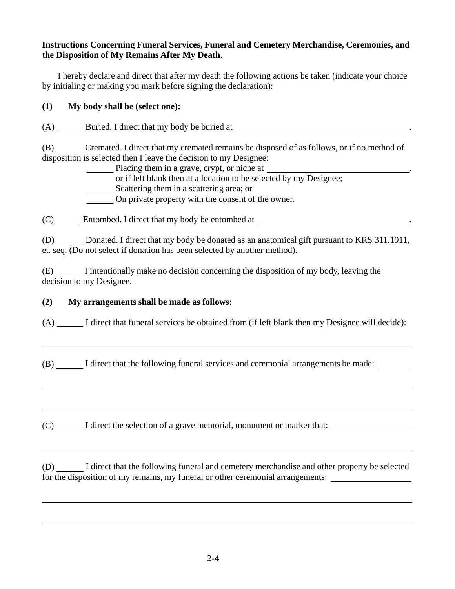#### **Instructions Concerning Funeral Services, Funeral and Cemetery Merchandise, Ceremonies, and the Disposition of My Remains After My Death.**

I hereby declare and direct that after my death the following actions be taken (indicate your choice by initialing or making you mark before signing the declaration):

#### **(1) My body shall be (select one):**

(A) Buried. I direct that my body be buried at .

(B) Cremated. I direct that my cremated remains be disposed of as follows, or if no method of disposition is selected then I leave the decision to my Designee:

Placing them in a grave, crypt, or niche at

or if left blank then at a location to be selected by my Designee;

Scattering them in a scattering area; or

On private property with the consent of the owner.

(C) Entombed. I direct that my body be entombed at .

(D) Donated. I direct that my body be donated as an anatomical gift pursuant to KRS 311.1911, et. seq. (Do not select if donation has been selected by another method).

(E) I intentionally make no decision concerning the disposition of my body, leaving the decision to my Designee.

### **(2) My arrangements shall be made as follows:**

(A) I direct that funeral services be obtained from (if left blank then my Designee will decide):

(B) I direct that the following funeral services and ceremonial arrangements be made:

(C)  $\Box$  I direct the selection of a grave memorial, monument or marker that:

(D) I direct that the following funeral and cemetery merchandise and other property be selected for the disposition of my remains, my funeral or other ceremonial arrangements: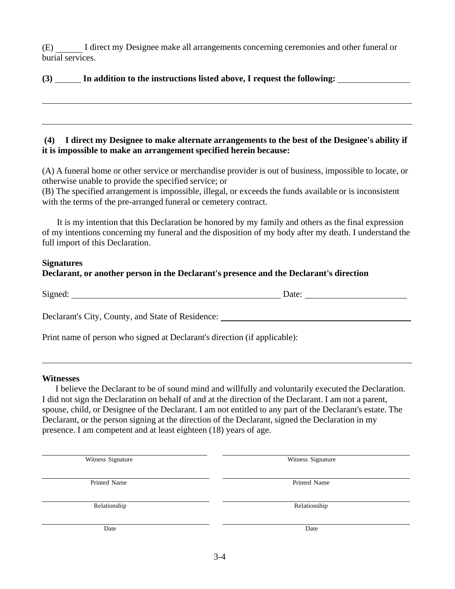(E) I direct my Designee make all arrangements concerning ceremonies and other funeral or burial services.

#### **(3) In addition to the instructions listed above, I request the following:**

#### **(4) I direct my Designee to make alternate arrangements to the best of the Designee's ability if it is impossible to make an arrangement specified herein because:**

(A) A funeral home or other service or merchandise provider is out of business, impossible to locate, or otherwise unable to provide the specified service; or

(B) The specified arrangement is impossible, illegal, or exceeds the funds available or is inconsistent with the terms of the pre-arranged funeral or cemetery contract.

It is my intention that this Declaration be honored by my family and others as the final expression of my intentions concerning my funeral and the disposition of my body after my death. I understand the full import of this Declaration.

#### **Signatures**

#### **Declarant, or another person in the Declarant's presence and the Declarant's direction**

| $\sim$ $\cdot$<br>י ר<br>້ | $\ddotsc$<br>╼<br>. |
|----------------------------|---------------------|
|                            |                     |

Declarant's City, County, and State of Residence:

Print name of person who signed at Declarant's direction (if applicable):

#### **Witnesses**

I believe the Declarant to be of sound mind and willfully and voluntarily executed the Declaration. I did not sign the Declaration on behalf of and at the direction of the Declarant. I am not a parent, spouse, child, or Designee of the Declarant. I am not entitled to any part of the Declarant's estate. The Declarant, or the person signing at the direction of the Declarant, signed the Declaration in my presence. I am competent and at least eighteen (18) years of age.

| Witness Signature | Witness Signature |  |  |  |
|-------------------|-------------------|--|--|--|
| Printed Name      | Printed Name      |  |  |  |
| Relationship      | Relationship      |  |  |  |
| Date              | Date              |  |  |  |